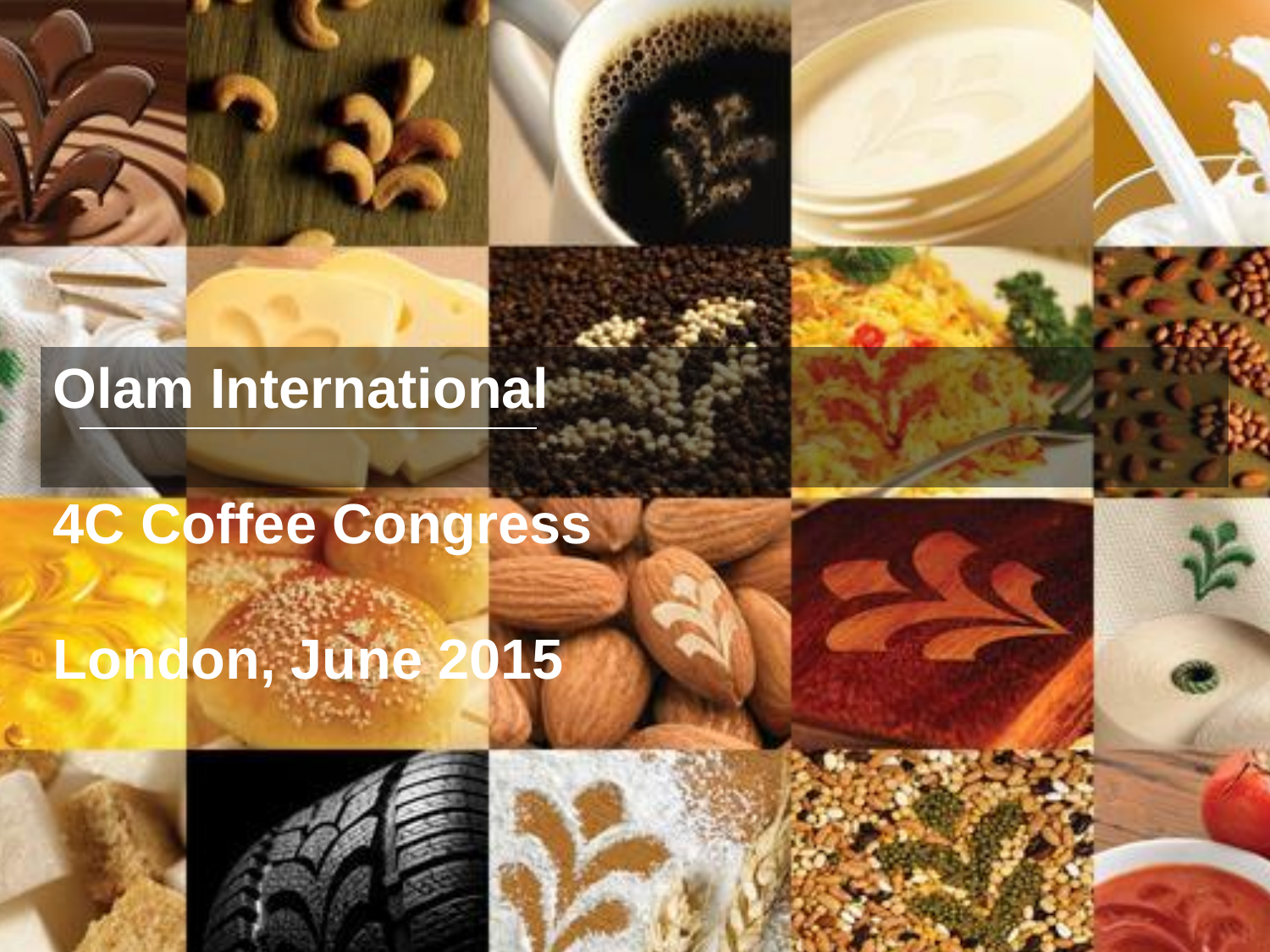## **Olam International**

# **4C Coffee Congress London, June 2015**





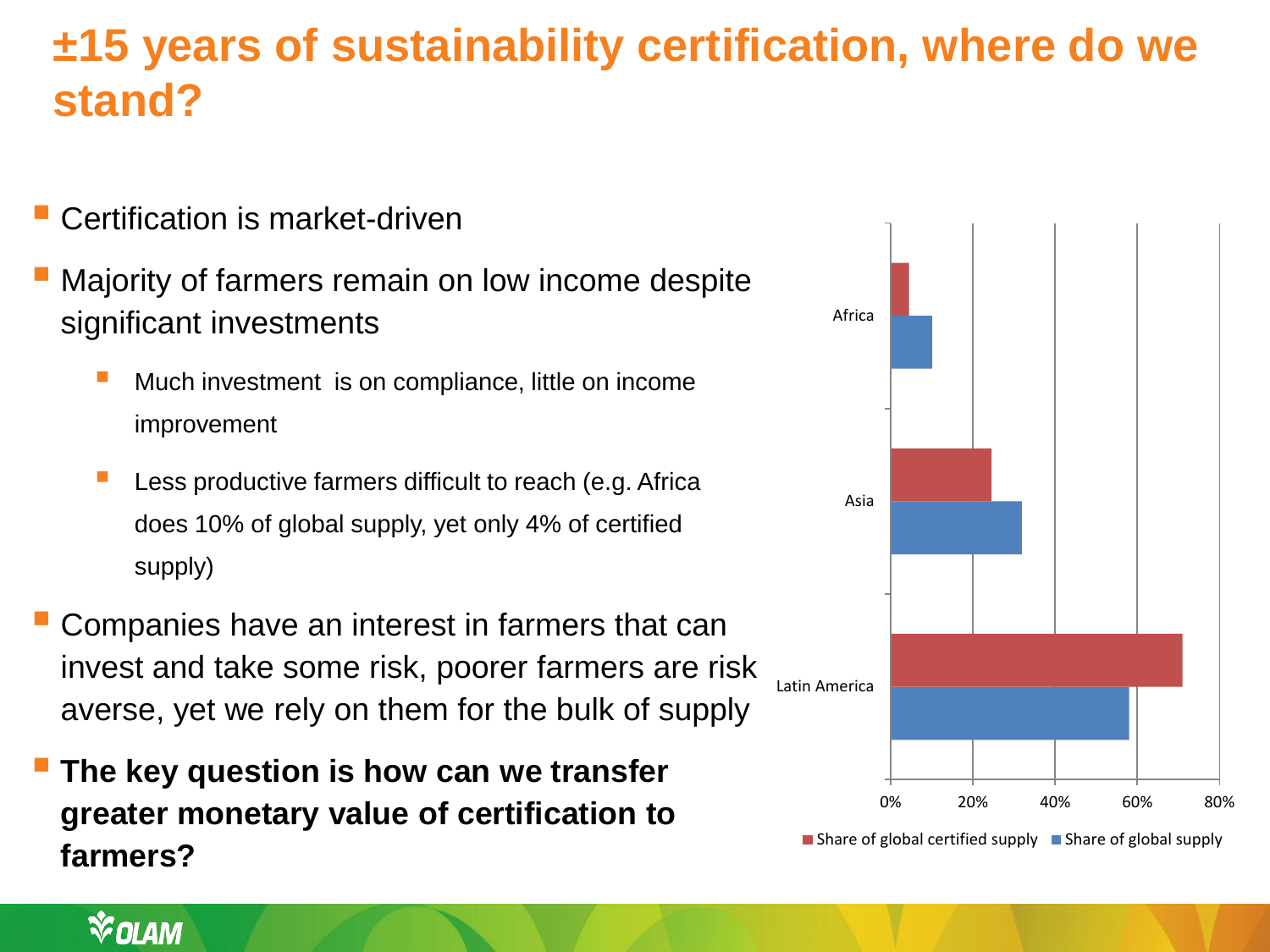### **±15 years of sustainability certification, where do we stand?**

- Certification is market-driven
- Majority of farmers remain on low income despite significant investments
	- Much investment is on compliance, little on income improvement
	- Less productive farmers difficult to reach (e.g. Africa does 10% of global supply, yet only 4% of certified supply)
- Companies have an interest in farmers that can invest and take some risk, poorer farmers are risk averse, yet we rely on them for the bulk of supply
- **The key question is how can we transfer greater monetary value of certification to farmers?**

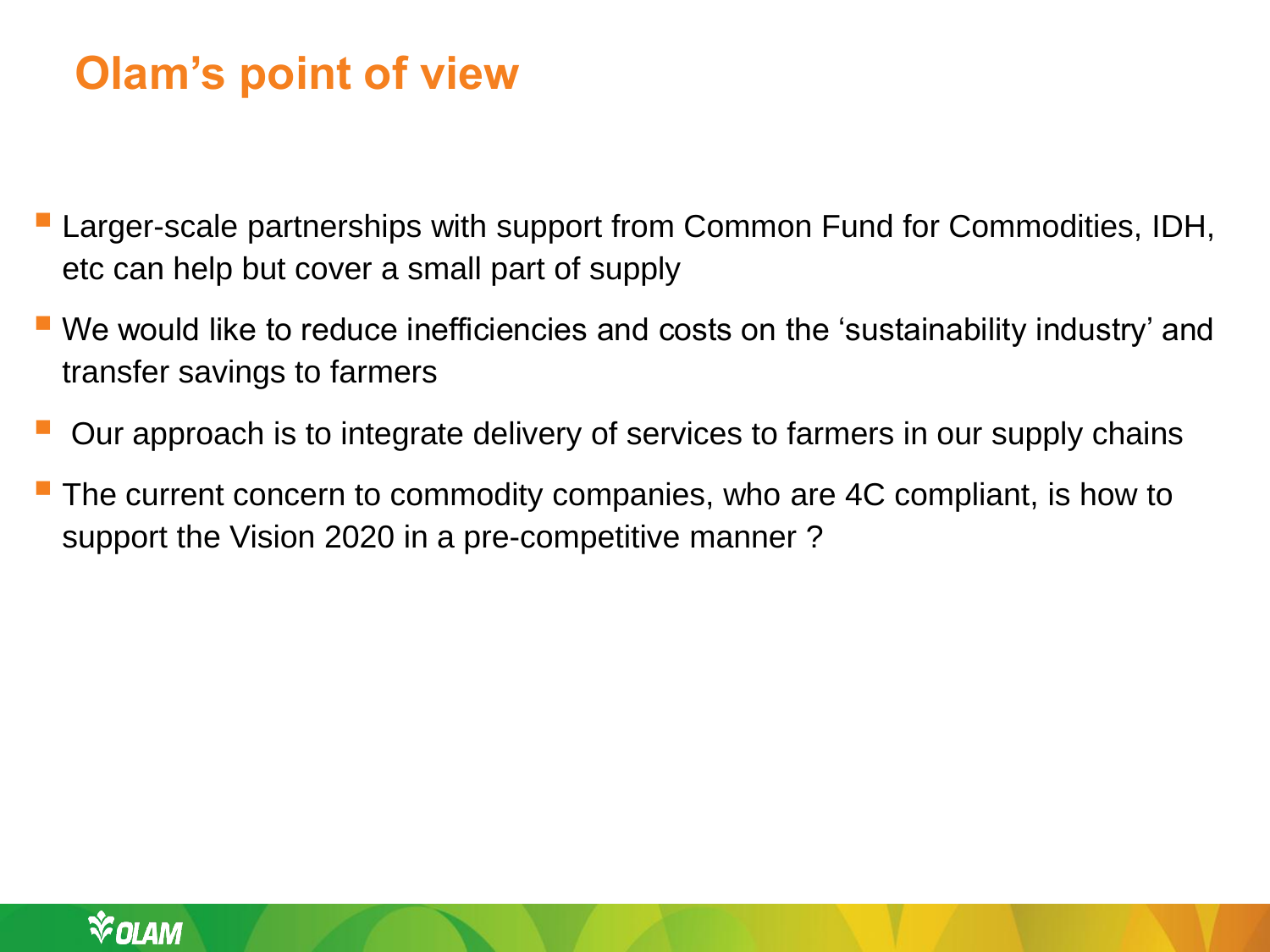### **Olam's point of view**

- Larger-scale partnerships with support from Common Fund for Commodities, IDH, etc can help but cover a small part of supply
- We would like to reduce inefficiencies and costs on the 'sustainability industry' and transfer savings to farmers
- Our approach is to integrate delivery of services to farmers in our supply chains
- The current concern to commodity companies, who are 4C compliant, is how to support the Vision 2020 in a pre-competitive manner ?

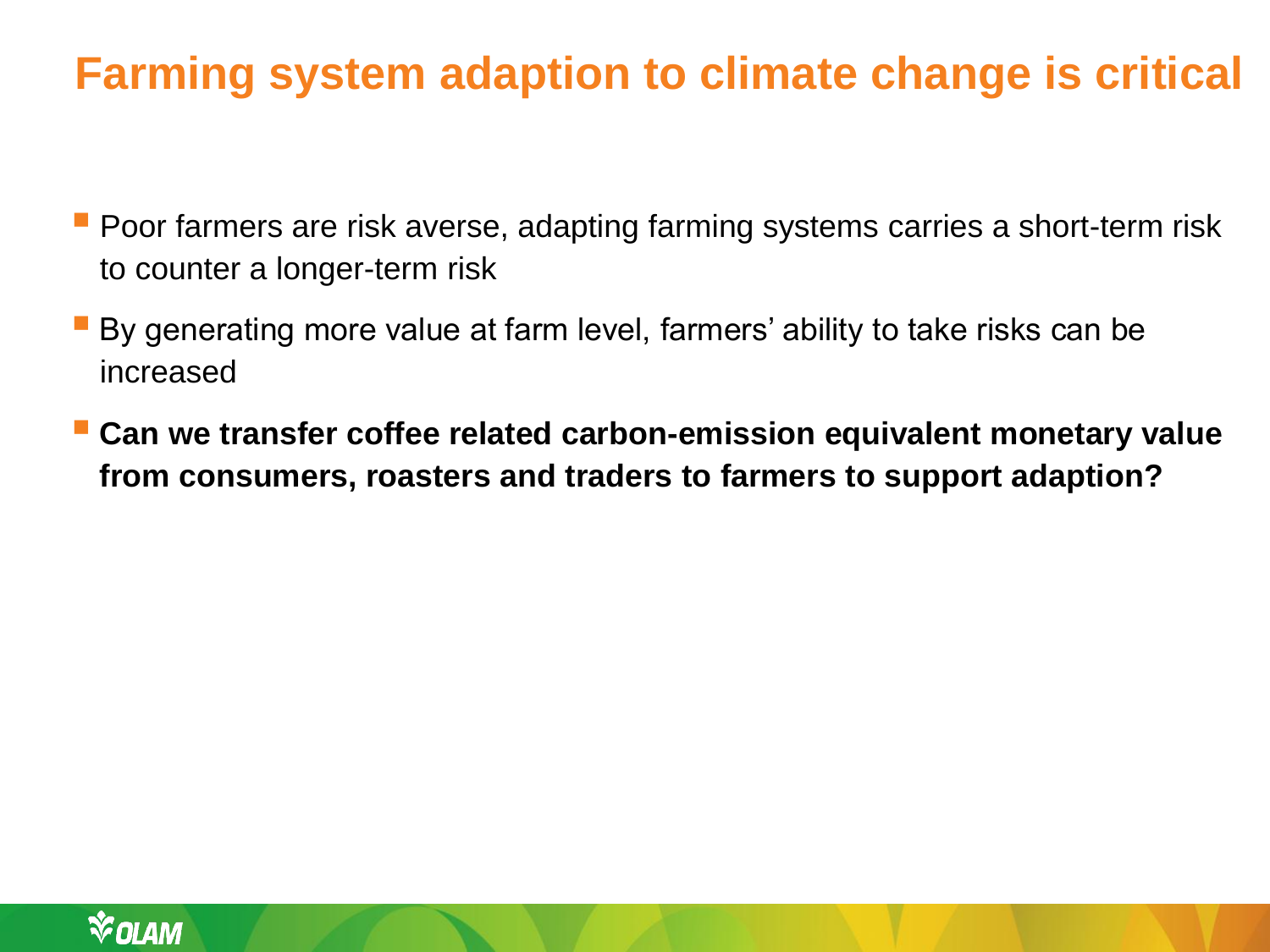### **Farming system adaption to climate change is critical**

- **Poor farmers are risk averse, adapting farming systems carries a short-term risk** to counter a longer-term risk
- By generating more value at farm level, farmers' ability to take risks can be increased
- **Can we transfer coffee related carbon-emission equivalent monetary value from consumers, roasters and traders to farmers to support adaption?**

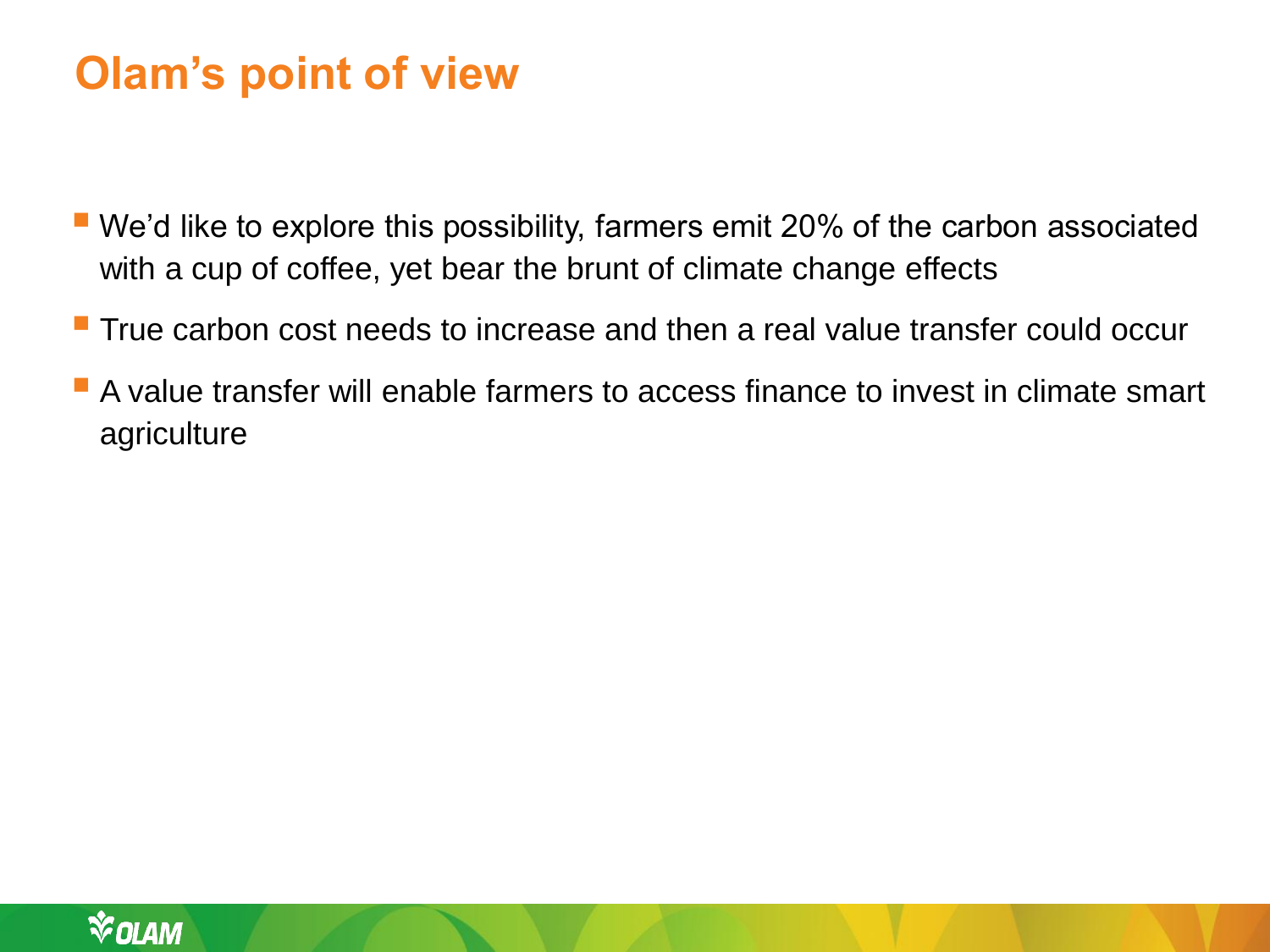### **Olam's point of view**

- We'd like to explore this possibility, farmers emit 20% of the carbon associated with a cup of coffee, yet bear the brunt of climate change effects
- True carbon cost needs to increase and then a real value transfer could occur
- A value transfer will enable farmers to access finance to invest in climate smart agriculture